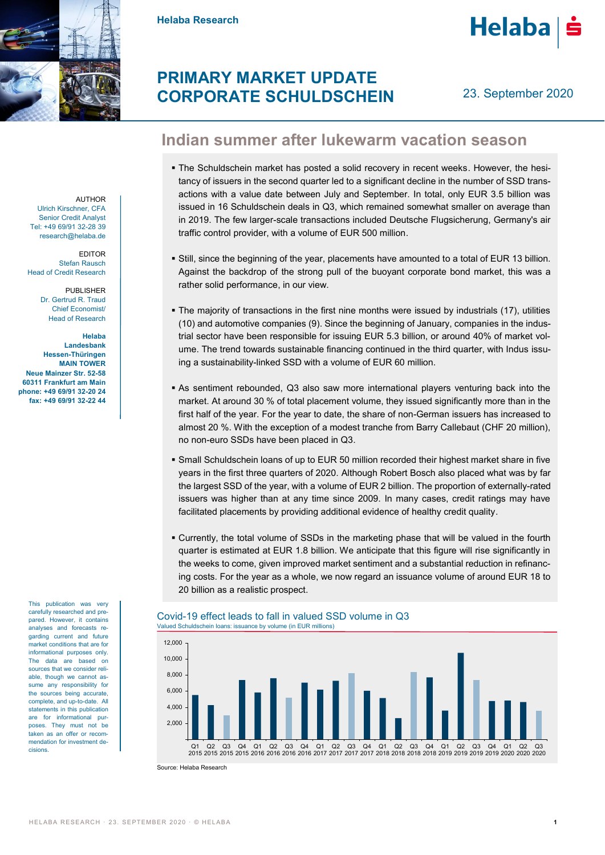

**Helaba Research**



# **PRIMARY MARKET UPDATE CORPORATE SCHULDSCHEIN**

23. September 2020

## **Indian summer after lukewarm vacation season**

- The Schuldschein market has posted a solid recovery in recent weeks. However, the hesitancy of issuers in the second quarter led to a significant decline in the number of SSD transactions with a value date between July and September. In total, only EUR 3.5 billion was issued in 16 Schuldschein deals in Q3, which remained somewhat smaller on average than in 2019. The few larger-scale transactions included Deutsche Flugsicherung, Germany's air traffic control provider, with a volume of EUR 500 million.
- Still, since the beginning of the year, placements have amounted to a total of EUR 13 billion. Against the backdrop of the strong pull of the buoyant corporate bond market, this was a rather solid performance, in our view.
- The majority of transactions in the first nine months were issued by industrials (17), utilities (10) and automotive companies (9). Since the beginning of January, companies in the industrial sector have been responsible for issuing EUR 5.3 billion, or around 40% of market volume. The trend towards sustainable financing continued in the third quarter, with Indus issuing a sustainability-linked SSD with a volume of EUR 60 million.
- As sentiment rebounded, Q3 also saw more international players venturing back into the market. At around 30 % of total placement volume, they issued significantly more than in the first half of the year. For the year to date, the share of non-German issuers has increased to almost 20 %. With the exception of a modest tranche from Barry Callebaut (CHF 20 million), no non-euro SSDs have been placed in Q3.
- Small Schuldschein loans of up to EUR 50 million recorded their highest market share in five years in the first three quarters of 2020. Although Robert Bosch also placed what was by far the largest SSD of the year, with a volume of EUR 2 billion. The proportion of externally-rated issuers was higher than at any time since 2009. In many cases, credit ratings may have facilitated placements by providing additional evidence of healthy credit quality.
- Currently, the total volume of SSDs in the marketing phase that will be valued in the fourth quarter is estimated at EUR 1.8 billion. We anticipate that this figure will rise significantly in the weeks to come, given improved market sentiment and a substantial reduction in refinancing costs. For the year as a whole, we now regard an issuance volume of around EUR 18 to 20 billion as a realistic prospect.

### Covid-19 effect leads to fall in valued SSD volume in Q3 Valued Schuldschein loans: issuance by volume (in EUR millions)



Source: Helaba Research

AUTHOR Ulrich Kirschner, CFA Senior Credit Analyst Tel: +49 69/91 32-28 39 research@helaba.de

EDITOR Stefan Rausch Head of Credit Research

> PUBLISHER Dr. Gertrud R. Traud Chief Economist/ Head of Research

**Helaba Landesbank Hessen-Thüringen MAIN TOWER Neue Mainzer Str. 52-58 60311 Frankfurt am Main phone: +49 69/91 32-20 24 fax: +49 69/91 32-22 44**

> This publication was very carefully researched and prepared. However, it contains analyses and forecasts regarding current and future market conditions that are for informational purposes only. The data are based on sources that we consider reliable, though we cannot assume any responsibility for the sources being accurate, complete, and up-to-date. All statements in this publication are for informational purposes. They must not be taken as an offer or recommendation for investment decisions.